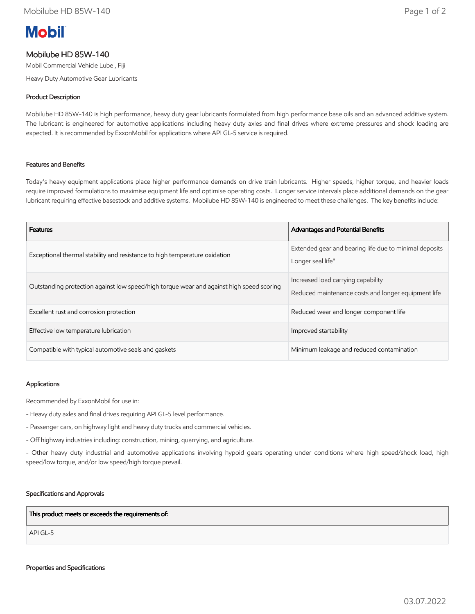# **Mobil**

# Mobilube HD 85W-140

Mobil Commercial Vehicle Lube , Fiji

Heavy Duty Automotive Gear Lubricants

## Product Description

Mobilube HD 85W-140 is high performance, heavy duty gear lubricants formulated from high performance base oils and an advanced additive system. The lubricant is engineered for automotive applications including heavy duty axles and final drives where extreme pressures and shock loading are expected. It is recommended by ExxonMobil for applications where API GL-5 service is required.

## Features and Benefits

Today's heavy equipment applications place higher performance demands on drive train lubricants. Higher speeds, higher torque, and heavier loads require improved formulations to maximise equipment life and optimise operating costs. Longer service intervals place additional demands on the gear lubricant requiring effective basestock and additive systems. Mobilube HD 85W-140 is engineered to meet these challenges. The key benefits include:

| <b>Features</b>                                                                          | <b>Advantages and Potential Benefits</b>                                                  |
|------------------------------------------------------------------------------------------|-------------------------------------------------------------------------------------------|
| Exceptional thermal stability and resistance to high temperature oxidation               | Extended gear and bearing life due to minimal deposits<br>Longer seal life"               |
| Outstanding protection against low speed/high torque wear and against high speed scoring | Increased load carrying capability<br>Reduced maintenance costs and longer equipment life |
| Excellent rust and corrosion protection                                                  | Reduced wear and longer component life                                                    |
| Effective low temperature lubrication                                                    | Improved startability                                                                     |
| Compatible with typical automotive seals and gaskets                                     | Minimum leakage and reduced contamination                                                 |

#### Applications

Recommended by ExxonMobil for use in:

- Heavy duty axles and final drives requiring API GL-5 level performance.
- Passenger cars, on highway light and heavy duty trucks and commercial vehicles.
- Off highway industries including: construction, mining, quarrying, and agriculture.

- Other heavy duty industrial and automotive applications involving hypoid gears operating under conditions where high speed/shock load, high speed/low torque, and/or low speed/high torque prevail.

#### Specifications and Approvals

This product meets or exceeds the requirements of:

API GL-5